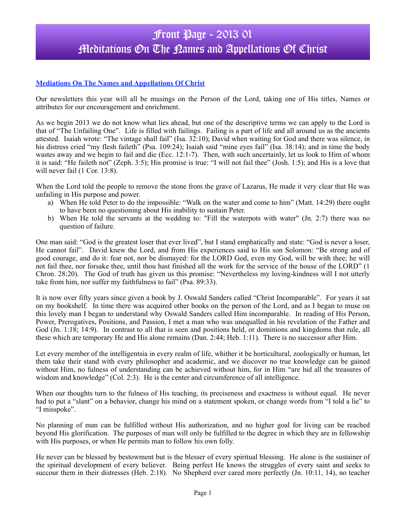# Front Page - 2013 01 Meditations On The Names and Appellations Of Christ

### **Mediations On The Names and Appellations Of Christ**

Our newsletters this year will all be musings on the Person of the Lord, taking one of His titles, Names or attributes for our encouragement and enrichment.

As we begin 2013 we do not know what lies ahead, but one of the descriptive terms we can apply to the Lord is that of "The Unfailing One". Life is filled with failings. Failing is a part of life and all around us as the ancients attested. Isaiah wrote: "The vintage shall fail" (Isa. 32:10); David when waiting for God and there was silence, in his distress cried "my flesh faileth" (Psa. 109:24); Isaiah said "mine eyes fail" (Isa. 38:14); and in time the body wastes away and we begin to fail and die (Ecc. 12:1-7). Then, with such uncertainly, let us look to Him of whom it is said: "He faileth not" (Zeph. 3:5); His promise is true: "I will not fail thee" (Josh. 1:5); and His is a love that will never fail (1 Cor. 13:8).

When the Lord told the people to remove the stone from the grave of Lazarus, He made it very clear that He was unfailing in His purpose and power.

- a) When He told Peter to do the impossible: "Walk on the water and come to him" (Matt. 14:29) there ought to have been no questioning about His inability to sustain Peter.
- b) When He told the servants at the wedding to: "Fill the waterpots with water" (Jn. 2:7) there was no question of failure.

One man said: "God is the greatest loser that ever lived", but I stand emphatically and state: "God is never a loser, He cannot fail". David knew the Lord, and from His experiences said to His son Solomon: "Be strong and of good courage, and do it: fear not, nor be dismayed: for the LORD God, even my God, will be with thee; he will not fail thee, nor forsake thee, until thou hast finished all the work for the service of the house of the LORD" (1 Chron. 28:20). The God of truth has given us this promise: "Nevertheless my loving-kindness will I not utterly take from him, nor suffer my faithfulness to fail" (Psa. 89:33).

It is now over fifty years since given a book by J. Oswald Sanders called "Christ Incomparable". For years it sat on my bookshelf. In time there was acquired other books on the person of the Lord, and as I began to muse on this lovely man I began to understand why Oswald Sanders called Him incomparable. In reading of His Person, Power, Prerogatives, Positions, and Passion, I met a man who was unequalled in his revelation of the Father and God (Jn. 1:18; 14:9). In contrast to all that is seen and positions held, or dominions and kingdoms that rule, all these which are temporary He and His alone remains (Dan. 2:44; Heb. 1:11). There is no successor after Him.

Let every member of the intelligentsia in every realm of life, whither it be horticultural, zoologically or human, let them take their stand with every philosopher and academic, and we discover no true knowledge can be gained without Him, no fulness of understanding can be achieved without him, for in Him "are hid all the treasures of wisdom and knowledge" (Col. 2:3). He is the center and circumference of all intelligence.

When our thoughts turn to the fulness of His teaching, its preciseness and exactness is without equal. He never had to put a "slant" on a behavior, change his mind on a statement spoken, or change words from "I told a lie" to "I misspoke".

No planning of man can be fulfilled without His authorization, and no higher goal for living can be reached beyond His glorification. The purposes of man will only be fulfilled to the degree in which they are in fellowship with His purposes, or when He permits man to follow his own folly.

He never can be blessed by bestowment but is the blesser of every spiritual blessing. He alone is the sustainer of the spiritual development of every believer. Being perfect He knows the struggles of every saint and seeks to succour them in their distresses (Heb. 2:18). No Shepherd ever cared more perfectly (Jn. 10:11, 14), no teacher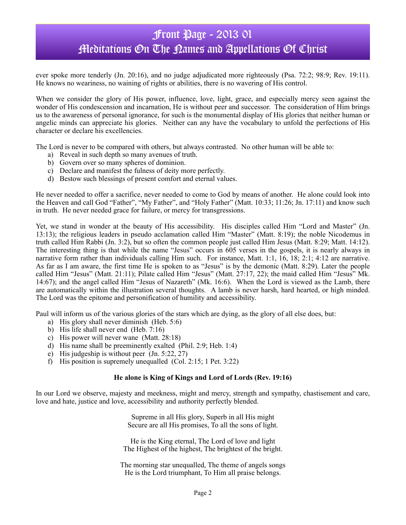# Front Page - 2013 01 Meditations On The Names and Appellations Of Christ

ever spoke more tenderly (Jn. 20:16), and no judge adjudicated more righteously (Psa. 72:2; 98:9; Rev. 19:11). He knows no weariness, no waining of rights or abilities, there is no wavering of His control.

When we consider the glory of His power, influence, love, light, grace, and especially mercy seen against the wonder of His condescension and incarnation, He is without peer and successor. The consideration of Him brings us to the awareness of personal ignorance, for such is the monumental display of His glories that neither human or angelic minds can appreciate his glories. Neither can any have the vocabulary to unfold the perfections of His character or declare his excellencies.

The Lord is never to be compared with others, but always contrasted. No other human will be able to:

- a) Reveal in such depth so many avenues of truth.
- b) Govern over so many spheres of dominion.
- c) Declare and manifest the fulness of deity more perfectly.
- d) Bestow such blessings of present comfort and eternal values.

He never needed to offer a sacrifice, never needed to come to God by means of another. He alone could look into the Heaven and call God "Father", "My Father", and "Holy Father" (Matt. 10:33; 11:26; Jn. 17:11) and know such in truth. He never needed grace for failure, or mercy for transgressions.

Yet, we stand in wonder at the beauty of His accessibility. His disciples called Him "Lord and Master" (Jn. 13:13); the religious leaders in pseudo acclamation called Him "Master" (Matt. 8:19); the noble Nicodemus in truth called Him Rabbi (Jn. 3:2), but so often the common people just called Him Jesus (Matt. 8:29; Matt. 14:12). The interesting thing is that while the name "Jesus" occurs in 605 verses in the gospels, it is nearly always in narrative form rather than individuals calling Him such. For instance, Matt. 1:1, 16, 18; 2:1; 4:12 are narrative. As far as I am aware, the first time He is spoken to as "Jesus" is by the demonic (Matt. 8:29). Later the people called Him "Jesus" (Matt. 21:11); Pilate called Him "Jesus" (Matt. 27:17, 22); the maid called Him "Jesus" Mk. 14:67); and the angel called Him "Jesus of Nazareth" (Mk. 16:6). When the Lord is viewed as the Lamb, there are automatically within the illustration several thoughts. A lamb is never harsh, hard hearted, or high minded. The Lord was the epitome and personification of humility and accessibility.

Paul will inform us of the various glories of the stars which are dying, as the glory of all else does, but:

- a) His glory shall never diminish (Heb. 5:6)
- b) His life shall never end (Heb. 7:16)
- c) His power will never wane (Matt. 28:18)
- d) His name shall be preeminently exalted (Phil. 2:9; Heb. 1:4)
- e) His judgeship is without peer (Jn. 5:22, 27)
- f) His position is supremely unequalled (Col. 2:15; 1 Pet. 3:22)

#### **He alone is King of Kings and Lord of Lords (Rev. 19:16)**

In our Lord we observe, majesty and meekness, might and mercy, strength and sympathy, chastisement and care, love and hate, justice and love, accessibility and authority perfectly blended.

> Supreme in all His glory, Superb in all His might Secure are all His promises, To all the sons of light.

He is the King eternal, The Lord of love and light The Highest of the highest, The brightest of the bright.

The morning star unequalled, The theme of angels songs He is the Lord triumphant, To Him all praise belongs.